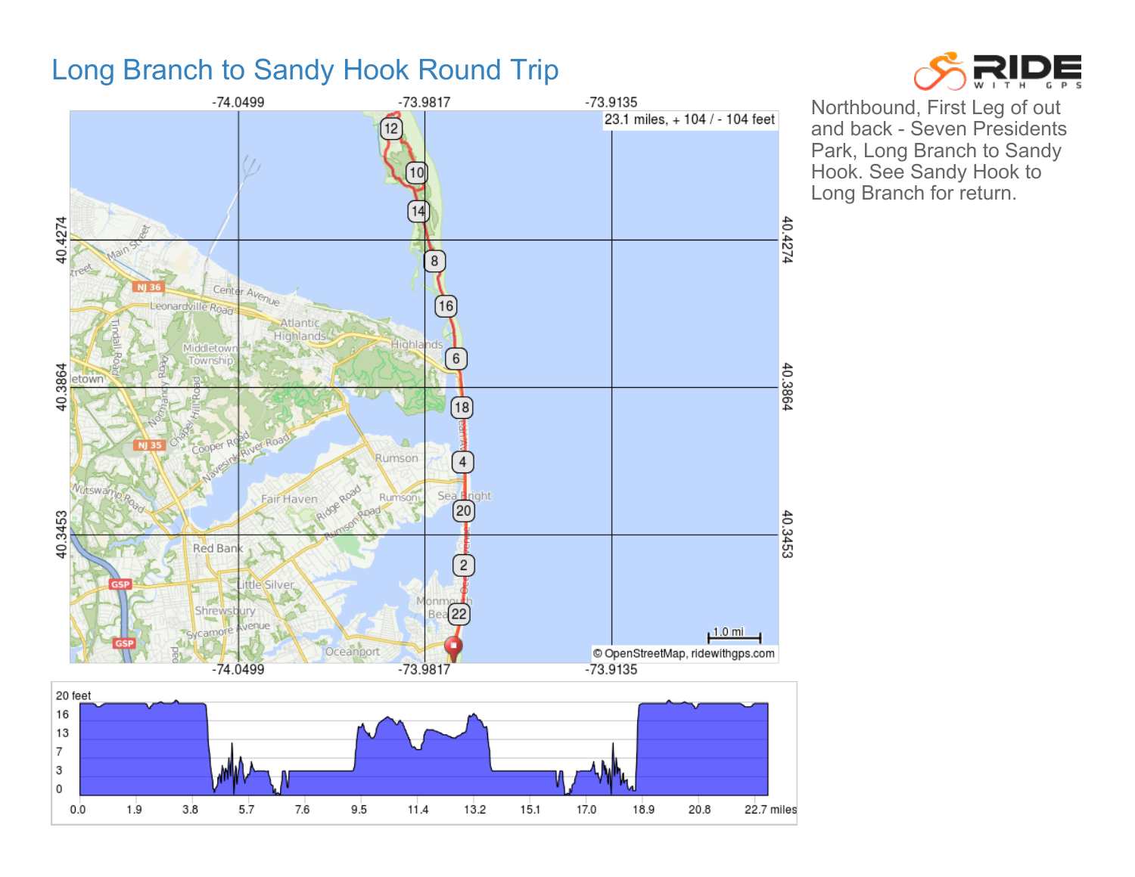## Long Branch to Sandy Hook Round Trip





Northbound, First Leg of out and back - Seven Presidents Park, Long Branch to Sandy Hook. See Sandy Hook to Long Branch for return.

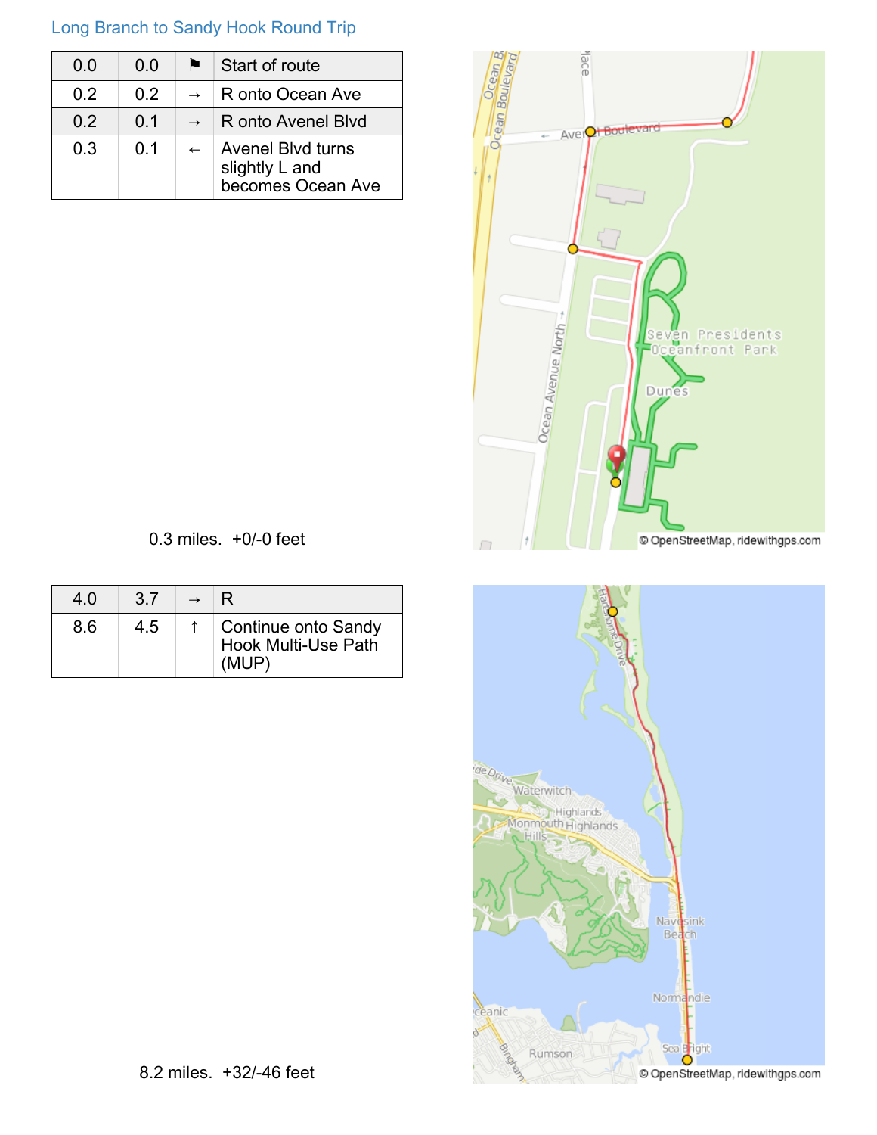## Long Branch to Sandy Hook Round Trip

| 0 Q | 0 Q            | R. | Start of route                                                  |
|-----|----------------|----|-----------------------------------------------------------------|
| 02  | 02             |    | $\rightarrow$ R onto Ocean Ave                                  |
| 02  | 0 <sub>1</sub> |    | $\rightarrow$ R onto Avenel Blvd                                |
| 03  | O 1            |    | <b>Avenel Blyd turns</b><br>slightly L and<br>becomes Ocean Ave |



0.3 miles. +0/-0 feet

 $- - - - - - -$ 

| 4.0 | 37  | R                                                          |
|-----|-----|------------------------------------------------------------|
| 8.6 | 4.5 | Continue onto Sandy<br><b>Hook Multi-Use Path</b><br>(MUP) |

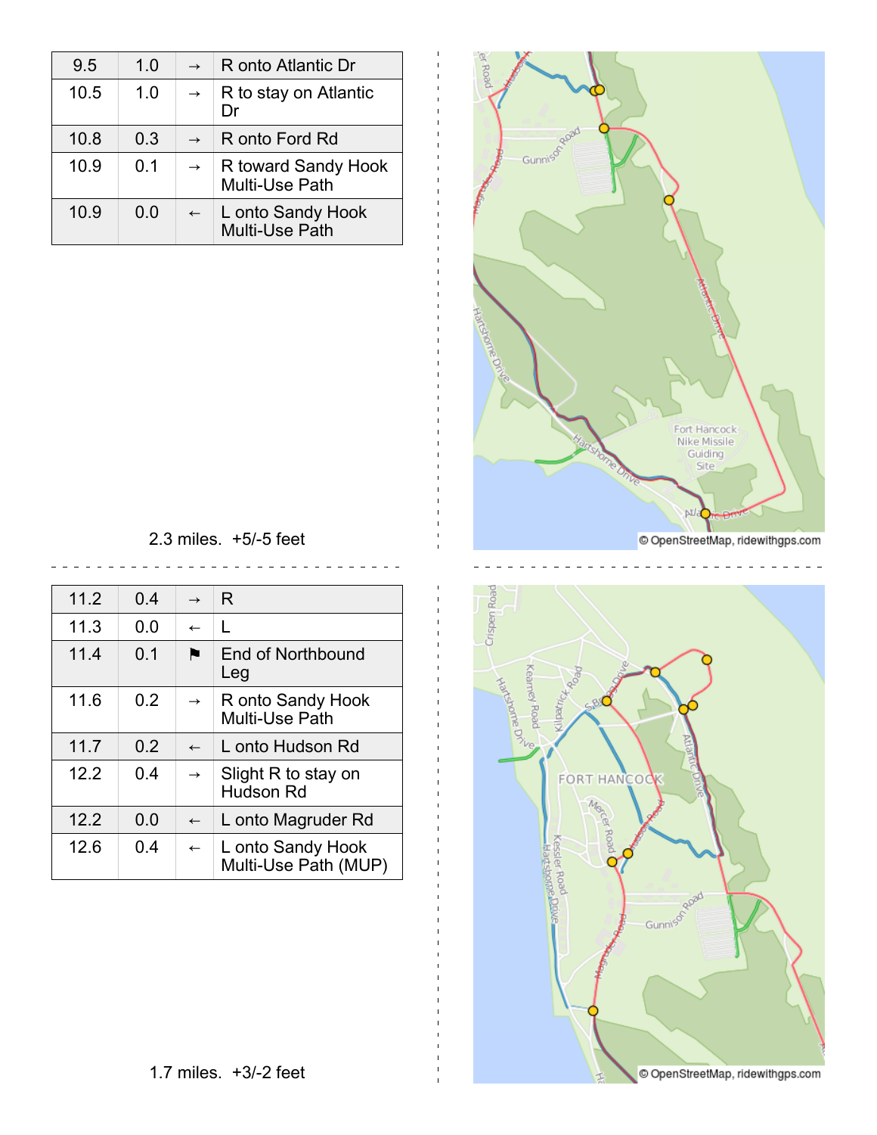| 9.5  | 1.0 | $\rightarrow$ | R onto Atlantic Dr                         |
|------|-----|---------------|--------------------------------------------|
| 10.5 | 1.0 | $\rightarrow$ | R to stay on Atlantic                      |
| 10.8 | 0.3 | $\rightarrow$ | R onto Ford Rd                             |
| 10.9 | 0 1 | $\rightarrow$ | R toward Sandy Hook<br>Multi-Use Path      |
| 10.9 | 0.0 | $\leftarrow$  | L onto Sandy Hook<br><b>Multi-Use Path</b> |



Crispen Road

2.3 miles. +5/-5 feet  $\frac{1}{2}$ 

| 11.2 | 0.4 | $\rightarrow$ | R                                         |
|------|-----|---------------|-------------------------------------------|
| 11.3 | 0.0 | $\leftarrow$  | L                                         |
| 11.4 | 0.1 |               | End of Northbound<br>Leg                  |
| 11.6 | 0.2 | $\rightarrow$ | R onto Sandy Hook<br>Multi-Use Path       |
| 11.7 | 0.2 | $\leftarrow$  | L onto Hudson Rd                          |
| 12.2 | 0.4 | $\rightarrow$ | Slight R to stay on<br>Hudson Rd          |
| 12.2 | 0.0 | $\leftarrow$  | L onto Magruder Rd                        |
| 12.6 | 0.4 | $\leftarrow$  | L onto Sandy Hook<br>Multi-Use Path (MUP) |

dipatrick<sub>Road</sub> Kearney Road **Keamed The District Only** 88 **FORT HANCOO** Manus Kessler Road<br>Hartshome.Drivin Roa Gunnism Road

© OpenStreetMap, ridewithgps.com